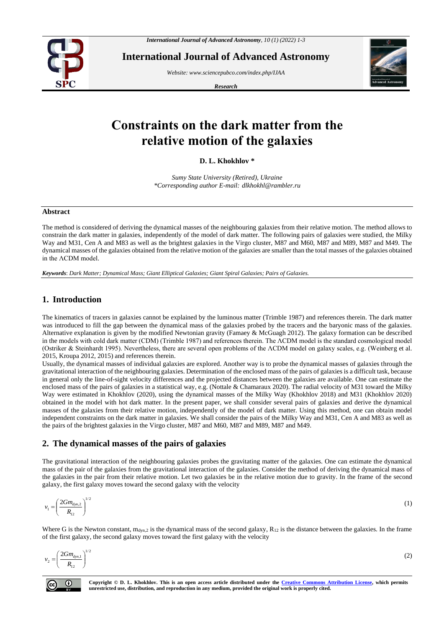

**International Journal of Advanced Astronomy**

*Website[: www.sciencepubco.com/index.php/IJAA](http://www.sciencepubco.com/index.php/IJAA)*

*Research* 



# **Constraints on the dark matter from the relative motion of the galaxies**

**D. L. Khokhlov \***

*Sumy State University (Retired), Ukraine \*Corresponding author E-mail: dlkhokhl@rambler.ru*

### **Abstract**

The method is considered of deriving the dynamical masses of the neighbouring galaxies from their relative motion. The method allows to constrain the dark matter in galaxies, independently of the model of dark matter. The following pairs of galaxies were studied, the Milky Way and M31, Cen A and M83 as well as the brightest galaxies in the Virgo cluster, M87 and M60, M87 and M89, M87 and M49. The dynamical masses of the galaxies obtained from the relative motion of the galaxies are smaller than the total masses of the galaxies obtained in the ΛCDM model.

*Keywords*: *Dark Matter; Dynamical Mass; Giant Elliptical Galaxies; Giant Spiral Galaxies; Pairs of Galaxies.*

## **1. Introduction**

The kinematics of tracers in galaxies cannot be explained by the luminous matter (Trimble 1987) and references therein. The dark matter was introduced to fill the gap between the dynamical mass of the galaxies probed by the tracers and the baryonic mass of the galaxies. Alternative explanation is given by the modified Newtonian gravity (Famaey & McGuagh 2012). The galaxy formation can be described in the models with cold dark matter (CDM) (Trimble 1987) and references therein. The ΛCDM model is the standard cosmological model (Ostriker & Steinhardt 1995). Nevertheless, there are several open problems of the ΛCDM model on galaxy scales, e.g. (Weinberg et al. 2015, Kroupa 2012, 2015) and references therein.

Usually, the dynamical masses of individual galaxies are explored. Another way is to probe the dynamical masses of galaxies through the gravitational interaction of the neighbouring galaxies. Determination of the enclosed mass of the pairs of galaxies is a difficult task, because in general only the line-of-sight velocity differences and the projected distances between the galaxies are available. One can estimate the enclosed mass of the pairs of galaxies in a statistical way, e.g. (Nottale & Chamaraux 2020). The radial velocity of M31 toward the Milky Way were estimated in Khokhlov (2020), using the dynamical masses of the Milky Way (Khokhlov 2018) and M31 (Khokhlov 2020) obtained in the model with hot dark matter. In the present paper, we shall consider several pairs of galaxies and derive the dynamical masses of the galaxies from their relative motion, independently of the model of dark matter. Using this method, one can obtain model independent constraints on the dark matter in galaxies. We shall consider the pairs of the Milky Way and M31, Cen A and M83 as well as the pairs of the brightest galaxies in the Virgo cluster, M87 and M60, M87 and M89, M87 and M49.

# **2. The dynamical masses of the pairs of galaxies**

The gravitational interaction of the neighbouring galaxies probes the gravitating matter of the galaxies. One can estimate the dynamical mass of the pair of the galaxies from the gravitational interaction of the galaxies. Consider the method of deriving the dynamical mass of the galaxies in the pair from their relative motion. Let two galaxies be in the relative motion due to gravity. In the frame of the second galaxy, the first galaxy moves toward the second galaxy with the velocity

$$
v_1 = \left(\frac{2Gm_{dyn,2}}{R_{12}}\right)^{1/2} \tag{1}
$$

Where G is the Newton constant,  $m_{dyn,2}$  is the dynamical mass of the second galaxy,  $R_{12}$  is the distance between the galaxies. In the frame of the first galaxy, the second galaxy moves toward the first galaxy with the velocity

$$
v_2 = \left(\frac{2Gm_{dyn,1}}{R_{12}}\right)^{1/2} \tag{2}
$$



**Copyright © D. L. Khokhlov. This is an open access article distributed under the [Creative Commons Attribution License,](http://creativecommons.org/licenses/by/3.0/) which permits unrestricted use, distribution, and reproduction in any medium, provided the original work is properly cited.**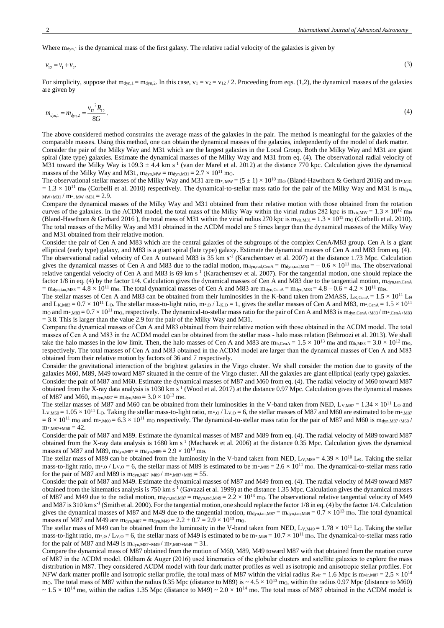Where  $m_{dyn,1}$  is the dynamical mass of the first galaxy. The relative radial velocity of the galaxies is given by

$$
v_{12} = v_1 + v_2. \tag{3}
$$

For simplicity, suppose that  $m_{dyn,1} = m_{dyn,2}$ . In this case,  $v_1 = v_2 = v_{12} / 2$ . Proceeding from eqs. (1,2), the dynamical masses of the galaxies are given by

$$
m_{\text{dyn,1}} = m_{\text{dyn,2}} = \frac{v_{12}^2 R_{12}}{8G}.
$$
 (4)

The above considered method constrains the average mass of the galaxies in the pair. The method is meaningful for the galaxies of the comparable masses. Using this method, one can obtain the dynamical masses of the galaxies, independently of the model of dark matter. Consider the pair of the Milky Way and M31 which are the largest galaxies in the Local Group. Both the Milky Way and M31 are giant spiral (late type) galaxies. Estimate the dynamical masses of the Milky Way and M31 from eq. (4). The observational radial velocity of M31 toward the Milky Way is  $109.3 \pm 4.4$  km s<sup>-1</sup> (van der Marel et al. 2012) at the distance 770 kpc. Calculation gives the dynamical masses of the Milky Way and M31,  $m_{dyn,MW} = m_{dyn,M31} = 2.7 \times 10^{11}$  mo.

The observational stellar masses of the Milky Way and M31 are  $m^*$ ,  $_{MW} = (5 \pm 1) \times 10^{10}$  mo (Bland-Hawthorn & Gerhard 2016) and  $m^*$ ,  $_{M31}$  $= 1.3 \times 10^{11}$  mo (Corbelli et al. 2010) respectively. The dynamical-to-stellar mass ratio for the pair of the Milky Way and M31 is m<sub>dyn</sub>,  $MW+M31 / m*$ ,  $MW+M31 = 2.9$ .

Compare the dynamical masses of the Milky Way and M31 obtained from their relative motion with those obtained from the rotation curves of the galaxies. In the ΛCDM model, the total mass of the Milky Way within the virial radius 282 kpc is  $m_{vir,MW} = 1.3 \times 10^{12}$  m<sub>0</sub> (Bland-Hawthorn & Gerhard 2016), the total mass of M31 within the virial radius 270 kpc is  $m_{vir,M31} = 1.3 \times 10^{12}$  mo (Corbelli et al. 2010). The total masses of the Milky Way and M31 obtained in the ΛCDM model are 5 times larger than the dynamical masses of the Milky Way and M31 obtained from their relative motion.

Consider the pair of Cen A and M83 which are the central galaxies of the subgroups of the complex CenA/M83 group. Cen A is a giant elliptical (early type) galaxy, and M83 is a giant spiral (late type) galaxy. Estimate the dynamical masses of Cen A and M83 from eq. (4). The observational radial velocity of Cen A outward M83 is  $35 \text{ km s}^{-1}$  (Karachentsev et al. 2007) at the distance 1.73 Mpc. Calculation gives the dynamical masses of Cen A and M83 due to the radial motion,  $m_{dyn,rad,CBA} = m_{dyn,rad,MS3} = -0.6 \times 10^{11}$  m<sub>o</sub>. The observational relative tangential velocity of Cen A and M83 is  $69 \text{ km s}^{-1}$  (Karachentsev et al. 2007). For the tangential motion, one should replace the factor 1/8 in eq. (4) by the factor 1/4. Calculation gives the dynamical masses of Cen A and M83 due to the tangential motion, m<sub>dyn,tan,CenA</sub>  $=$  m<sub>dyn,tan,M83</sub>  $=$  4.8  $\times$  10<sup>11</sup> m<sub>0</sub>. The total dynamical masses of Cen A and M83 are m<sub>dyn,CenA</sub>  $=$  m<sub>dyn,M83</sub>  $=$  4.8  $-$  0.6  $=$  4.2  $\times$  10<sup>11</sup> m<sub>0</sub>.

The stellar masses of Cen A and M83 can be obtained from their luminosities in the K-band taken from 2MASS,  $LK_{CenA} = 1.5 \times 10^{11}$  Lo and L<sub>K,M83</sub> =  $0.7 \times 10^{11}$  Lo. The stellar mass-to-light ratio, m\*,o / L<sub>K,</sub>o = 1, gives the stellar masses of Cen A and M83, m\*,cenA =  $1.5 \times 10^{11}$ mo and  $m*_{M83}= 0.7 \times 10^{11}$  mo, respectively. The dynamical-to-stellar mass ratio for the pair of Cen A and M83 is m<sub>dyn,CenA+M83</sub>/ m<sub>\*</sub>,CenA+M83  $= 3.8$ . This is larger than the value 2.9 for the pair of the Milky Way and M31.

Compare the dynamical masses of Cen A and M83 obtained from their relative motion with those obtained in the ΛCDM model. The total masses of Cen A and M83 in the ΛCDM model can be obtained from the stellar mass - halo mass relation (Behroozi et al. 2013). We shall take the halo masses in the low limit. Then, the halo masses of Cen A and M83 are  $m_{h, Cen} = 1.5 \times 10^{13}$  mo and  $m_{h, M83} = 3.0 \times 10^{12}$  mo, respectively. The total masses of Cen A and M83 obtained in the ΛCDM model are larger than the dynamical masses of Cen A and M83 obtained from their relative motion by factors of 36 and 7 respectively.

Consider the gravitational interaction of the brightest galaxies in the Virgo cluster. We shall consider the motion due to gravity of the galaxies M60, M89, M49 toward M87 situated in the centre of the Virgo cluster. All the galaxies are giant elliptical (early type) galaxies. Consider the pair of M87 and M60. Estimate the dynamical masses of M87 and M60 from eq. (4). The radial velocity of M60 toward M87 obtained from the X-ray data analysis is 1030 km  $s^{-1}$  (Wood et al. 2017) at the distance 0.97 Mpc. Calculation gives the dynamical masses of M87 and M60,  $m_{dyn,M87} = m_{dyn,M60} = 3.0 \times 10^{13}$  mo.

The stellar masses of M87 and M60 can be obtained from their luminosities in the V-band taken from NED,  $L_{V,MS7} = 1.34 \times 10^{11}$  L<sub>o</sub> and  $L_{V, M60} = 1.05 \times 10^{11}$  L<sub>o</sub>. Taking the stellar mass-to-light ratio, m<sup>\*</sup>, $\omega/L_{V, Q} = 6$ , the stellar masses of M87 and M60 are estimated to be m<sup>\*</sup>,M87  $= 8 \times 10^{11}$  mo and m\*,M60 = 6.3  $\times 10^{11}$  mo respectively. The dynamical-to-stellar mass ratio for the pair of M87 and M60 is mdyn,M87+M60 /  $m$ <sup>\*</sup>,  $M87+M60 = 42$ .

Consider the pair of M87 and M89. Estimate the dynamical masses of M87 and M89 from eq. (4). The radial velocity of M89 toward M87 obtained from the X-ray data analysis is 1680 km  $s<sup>-1</sup>$  (Machacek et al. 2006) at the distance 0.35 Mpc. Calculation gives the dynamical masses of M87 and M89,  $m_{dyn,M87} = m_{dyn,M89} = 2.9 \times 10^{13}$  mo.

The stellar mass of M89 can be obtained from the luminosity in the V-band taken from NED,  $L_{V,M89} = 4.39 \times 10^{10}$  L<sub>o</sub>. Taking the stellar mass-to-light ratio, m\*,o / Lv,o = 6, the stellar mass of M89 is estimated to be m\*,M89 =  $2.6 \times 10^{11}$  mo. The dynamical-to-stellar mass ratio for the pair of M87 and M89 is  $m_{dyn, M87+M89} / m$ \*,  $m_{87+M89} = 55$ .

Consider the pair of M87 and M49. Estimate the dynamical masses of M87 and M49 from eq. (4). The radial velocity of M49 toward M87 obtained from the kinematics analysis is 750 km s<sup>-1</sup> (Gavazzi et al. 1999) at the distance 1.35 Mpc. Calculation gives the dynamical masses of M87 and M49 due to the radial motion,  $m_{dyn,rad,M87} = m_{dyn,rad,M49} = 2.2 \times 10^{13}$  mo. The observational relative tangential velocity of M49 and M87 is 310 km s<sup>-1</sup> (Smith et al. 2000). For the tangential motion, one should replace the factor 1/8 in eq. (4) by the factor 1/4. Calculation gives the dynamical masses of M87 and M49 due to the tangential motion,  $m_{dyn,tan,M87} = m_{dyn,tan,M49} = 0.7 \times 10^{13}$  mo. The total dynamical masses of M87 and M49 are m<sub>dyn,M87</sub> = m<sub>dyn,M49</sub> = 2.2 + 0.7 = 2.9  $\times$  10<sup>13</sup> m<sub>0</sub>.

The stellar mass of M49 can be obtained from the luminosity in the V-band taken from NED,  $L_{V,M49} = 1.78 \times 10^{11}$  L<sub>o</sub>. Taking the stellar mass-to-light ratio, m\*, $\omega / L_{V, \Theta} = 6$ , the stellar mass of M49 is estimated to be m\*,M49 = 10.7 × 10<sup>11</sup> m $\omega$ . The dynamical-to-stellar mass ratio for the pair of M87 and M49 is  $m_{dyn, M87+M49} / m$ \*,  $M87+M49 = 31$ .

Compare the dynamical mass of M87 obtained from the motion of M60, M89, M49 toward M87 with that obtained from the rotation curve of M87 in the ΛCDM model. Oldham & Auger (2016) used kinematics of the globular clusters and satellite galaxies to explore the mass distribution in M87. They considered ΛCDM model with four dark matter profiles as well as isotropic and anisotropic stellar profiles. For NFW dark matter profile and isotropic stellar profile, the total mass of M87 within the virial radius  $R_{vir} = 1.6$  Mpc is  $m_{vir,M87} = 2.5 \times 10^{14}$ mo. The total mass of M87 within the radius 0.35 Mpc (distance to M89) is  $\sim 4.5 \times 10^{13}$  mo, within the radius 0.97 Mpc (distance to M60)  $\sim 1.5 \times 10^{14}$  m<sub>o</sub>, within the radius 1.35 Mpc (distance to M49)  $\sim 2.0 \times 10^{14}$  m<sub>0</sub>. The total mass of M87 obtained in the ΛCDM model is